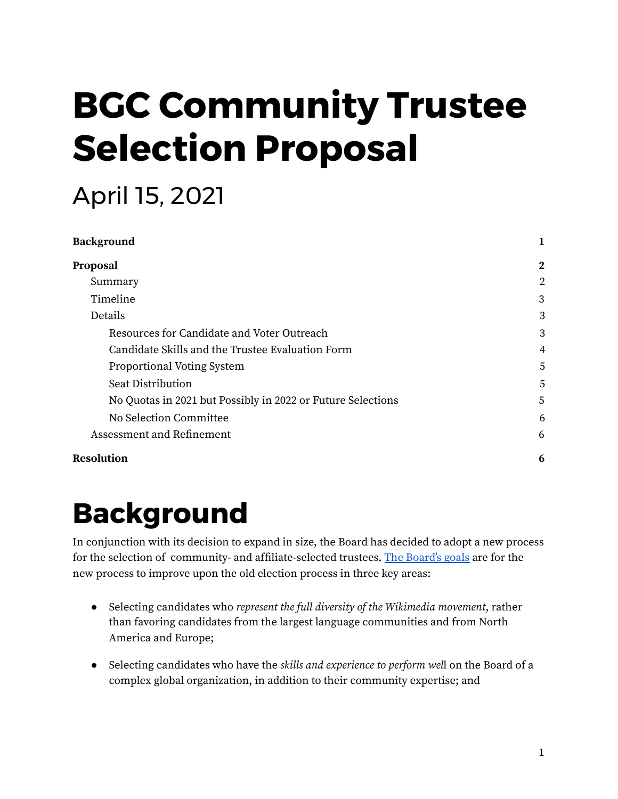# **BGC Community Trustee Selection Proposal**

### April 15, 2021

| <b>Background</b>                                           |              |
|-------------------------------------------------------------|--------------|
| Proposal                                                    | $\mathbf{2}$ |
| Summary                                                     | 2            |
| Timeline                                                    | 3            |
| Details                                                     | 3            |
| Resources for Candidate and Voter Outreach                  | 3            |
| Candidate Skills and the Trustee Evaluation Form            | 4            |
| Proportional Voting System                                  | 5            |
| Seat Distribution                                           | 5            |
| No Quotas in 2021 but Possibly in 2022 or Future Selections | 5            |
| No Selection Committee                                      | 6            |
| Assessment and Refinement                                   | 6            |
| <b>Resolution</b>                                           | 6            |

## <span id="page-0-0"></span>**Background**

In conjunction with its decision to expand in size, the Board has decided to adopt a new process for the selection of community- and affiliate-selected trustees. The [Board's](https://meta.wikimedia.org/wiki/Wikimedia_Foundation_Board_of_Trustees/Call_for_feedback:_Community_Board_seats#Problems_to_solve) goals are for the new process to improve upon the old election process in three key areas:

- Selecting candidates who represent the full diversity of the Wikimedia movement, rather than favoring candidates from the largest language communities and from North America and Europe;
- Selecting candidates who have the skills and experience to perform well on the Board of a complex global organization, in addition to their community expertise; and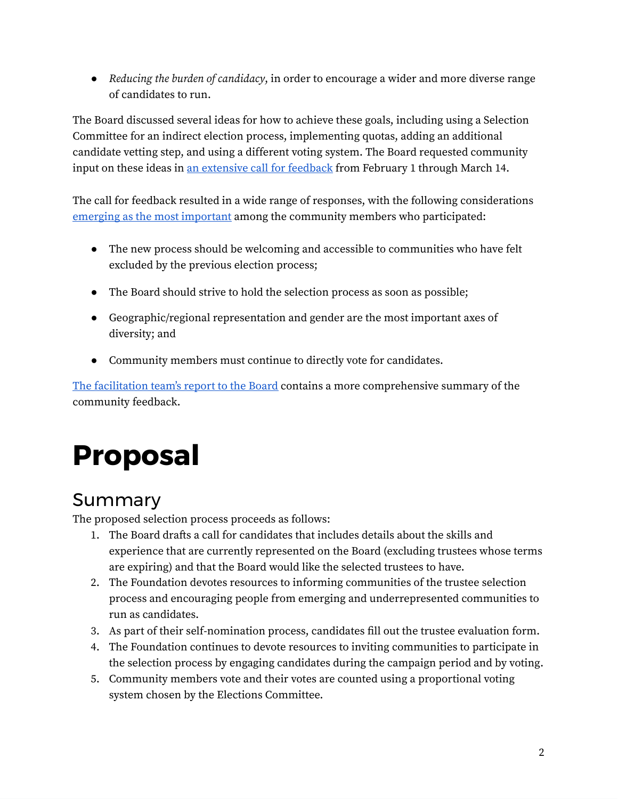• Reducing the burden of candidacy, in order to encourage a wider and more diverse range of candidates to run.

The Board discussed several ideas for how to achieve these goals, including using a Selection Committee for an indirect election process, implementing quotas, adding an additional candidate vetting step, and using a different voting system. The Board requested community input on these ideas in an [extensive](https://meta.wikimedia.org/wiki/Wikimedia_Foundation_Board_of_Trustees/Call_for_feedback:_Community_Board_seats#Problems_to_solve) call for feedback from February 1 through March 14.

The call for feedback resulted in a wide range of responses, with the following considerations emerging as the most [important](https://meta.wikimedia.org/wiki/Wikimedia_Foundation_Board_of_Trustees/Call_for_feedback:_Community_Board_seats/Main_report#Summary) among the community members who participated:

- The new process should be welcoming and accessible to communities who have felt excluded by the previous election process;
- The Board should strive to hold the selection process as soon as possible;
- Geographic/regional representation and gender are the most important axes of diversity; and
- Community members must continue to directly vote for candidates.

The [facilitation](https://meta.wikimedia.org/wiki/Wikimedia_Foundation_Board_of_Trustees/Call_for_feedback:_Community_Board_seats/Main_report) team's report to the Board contains a more comprehensive summary of the community feedback.

# <span id="page-1-0"></span>**Proposal**

### <span id="page-1-1"></span>Summary

The proposed selection process proceeds as follows:

- 1. The Board drafts a call for candidates that includes details about the skills and experience that are currently represented on the Board (excluding trustees whose terms are expiring) and that the Board would like the selected trustees to have.
- 2. The Foundation devotes resources to informing communities of the trustee selection process and encouraging people from emerging and underrepresented communities to run as candidates.
- 3. As part of their self-nomination process, candidates fill out the trustee evaluation form.
- 4. The Foundation continues to devote resources to inviting communities to participate in the selection process by engaging candidates during the campaign period and by voting.
- 5. Community members vote and their votes are counted using a proportional voting system chosen by the Elections Committee.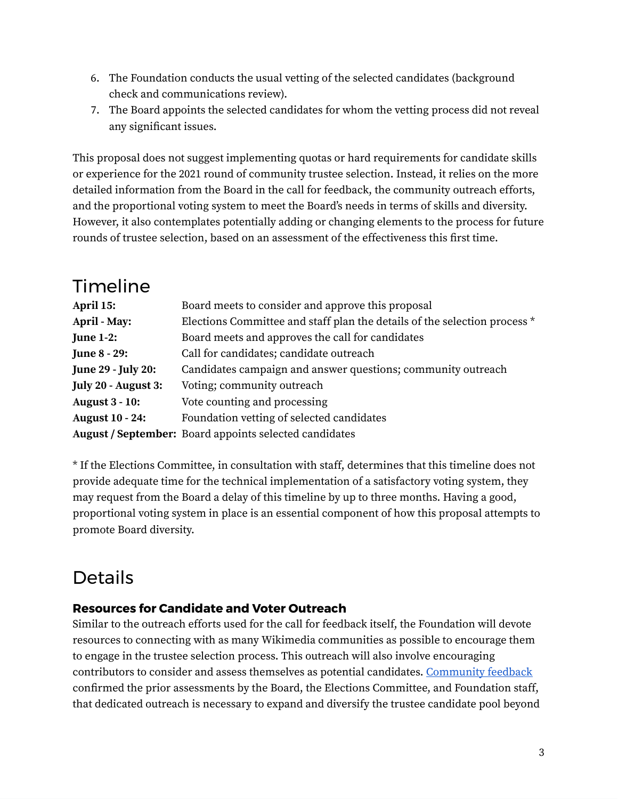- 6. The Foundation conducts the usual vetting of the selected candidates (background check and communications review).
- 7. The Board appoints the selected candidates for whom the vetting process did not reveal any significant issues.

This proposal does not suggest implementing quotas or hard requirements for candidate skills or experience for the 2021 round of community trustee selection. Instead, it relies on the more detailed information from the Board in the call for feedback, the community outreach efforts, and the proportional voting system to meet the Board's needs in terms of skills and diversity. However, it also contemplates potentially adding or changing elements to the process for future rounds of trustee selection, based on an assessment of the effectiveness this first time.

<span id="page-2-0"></span>

| <b>Timeline</b>           |                                                                           |
|---------------------------|---------------------------------------------------------------------------|
| April 15:                 | Board meets to consider and approve this proposal                         |
| April - May:              | Elections Committee and staff plan the details of the selection process * |
| <b>June 1-2:</b>          | Board meets and approves the call for candidates                          |
| <b>June 8 - 29:</b>       | Call for candidates; candidate outreach                                   |
| <b>June 29 - July 20:</b> | Candidates campaign and answer questions; community outreach              |
| July 20 - August 3:       | Voting; community outreach                                                |
| <b>August 3 - 10:</b>     | Vote counting and processing                                              |
| <b>August 10 - 24:</b>    | Foundation vetting of selected candidates                                 |
|                           | August / September: Board appoints selected candidates                    |

\* If the Elections Committee, in consultation with staff, determines that this timeline does not provide adequate time for the technical implementation of a satisfactory voting system, they may request from the Board a delay of this timeline by up to three months. Having a good, proportional voting system in place is an essential component of how this proposal attempts to promote Board diversity.

### <span id="page-2-1"></span>Details

#### <span id="page-2-2"></span>**Resources for Candidate and Voter Outreach**

Similar to the outreach efforts used for the call for feedback itself, the Foundation will devote resources to connecting with as many Wikimedia communities as possible to encourage them to engage in the trustee selection process. This outreach will also involve encouraging contributors to consider and assess themselves as potential candidates. [Community](https://meta.wikimedia.org/wiki/Wikimedia_Foundation_Board_of_Trustees/Call_for_feedback:_Community_Board_seats/Main_report#Candidate_resources) feedback confirmed the prior assessments by the Board, the Elections Committee, and Foundation staff, that dedicated outreach is necessary to expand and diversify the trustee candidate pool beyond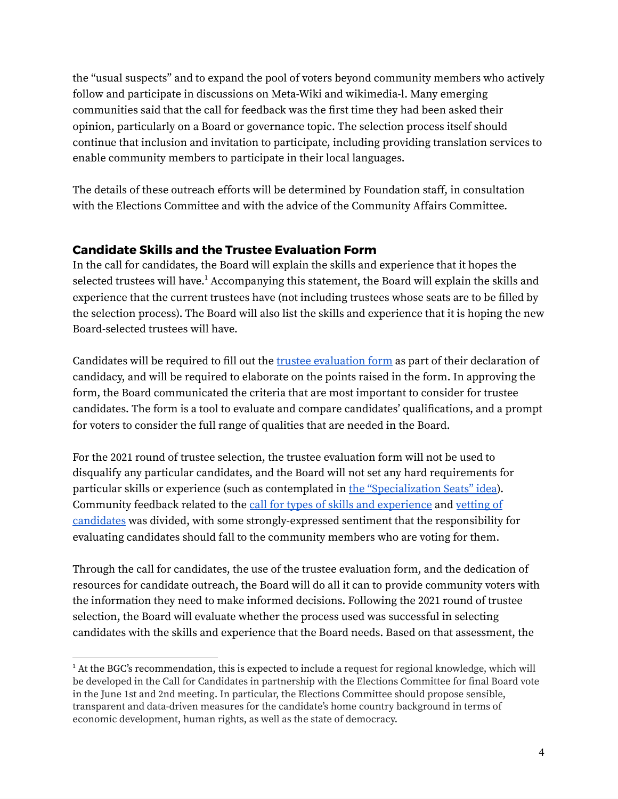the "usual suspects" and to expand the pool of voters beyond community members who actively follow and participate in discussions on Meta-Wiki and wikimedia-l. Many emerging communities said that the call for feedback was the first time they had been asked their opinion, particularly on a Board or governance topic. The selection process itself should continue that inclusion and invitation to participate, including providing translation services to enable community members to participate in their local languages.

The details of these outreach efforts will be determined by Foundation staff, in consultation with the Elections Committee and with the advice of the Community Affairs Committee.

#### <span id="page-3-0"></span>**Candidate Skills and the Trustee Evaluation Form**

In the call for candidates, the Board will explain the skills and experience that it hopes the selected trustees will have. <sup>1</sup> Accompanying this statement, the Board will explain the skills and experience that the current trustees have (not including trustees whose seats are to be filled by the selection process). The Board will also list the skills and experience that it is hoping the new Board-selected trustees will have.

Candidates will be required to fill out the trustee [evaluation](https://foundation.wikimedia.org/wiki/Resolution:Approving_Trustee_Evaluation_Form) form as part of their declaration of candidacy, and will be required to elaborate on the points raised in the form. In approving the form, the Board communicated the criteria that are most important to consider for trustee candidates. The form is a tool to evaluate and compare candidates' qualifications, and a prompt for voters to consider the full range of qualities that are needed in the Board.

For the 2021 round of trustee selection, the trustee evaluation form will not be used to disqualify any particular candidates, and the Board will not set any hard requirements for particular skills or experience (such as contemplated in the ["Specialization](https://meta.wikimedia.org/wiki/Wikimedia_Foundation_Board_of_Trustees/Call_for_feedback:_Community_Board_seats/Main_report#Specialization_seats) Seats" idea). Community feedback related to the call for types of skills and [experience](https://meta.wikimedia.org/wiki/Wikimedia_Foundation_Board_of_Trustees/Call_for_feedback:_Community_Board_seats/Main_report#Call_for_types_of_skills_and_experiences) and [vetting](https://meta.wikimedia.org/wiki/Wikimedia_Foundation_Board_of_Trustees/Call_for_feedback:_Community_Board_seats/Main_report#Vetting_of_candidates) of [candidates](https://meta.wikimedia.org/wiki/Wikimedia_Foundation_Board_of_Trustees/Call_for_feedback:_Community_Board_seats/Main_report#Vetting_of_candidates) was divided, with some strongly-expressed sentiment that the responsibility for evaluating candidates should fall to the community members who are voting for them.

Through the call for candidates, the use of the trustee evaluation form, and the dedication of resources for candidate outreach, the Board will do all it can to provide community voters with the information they need to make informed decisions. Following the 2021 round of trustee selection, the Board will evaluate whether the process used was successful in selecting candidates with the skills and experience that the Board needs. Based on that assessment, the

 $<sup>1</sup>$  At the BGC's recommendation, this is expected to include a request for regional knowledge, which will</sup> be developed in the Call for Candidates in partnership with the Elections Committee for final Board vote in the June 1st and 2nd meeting. In particular, the Elections Committee should propose sensible, transparent and data-driven measures for the candidate's home country background in terms of economic development, human rights, as well as the state of democracy.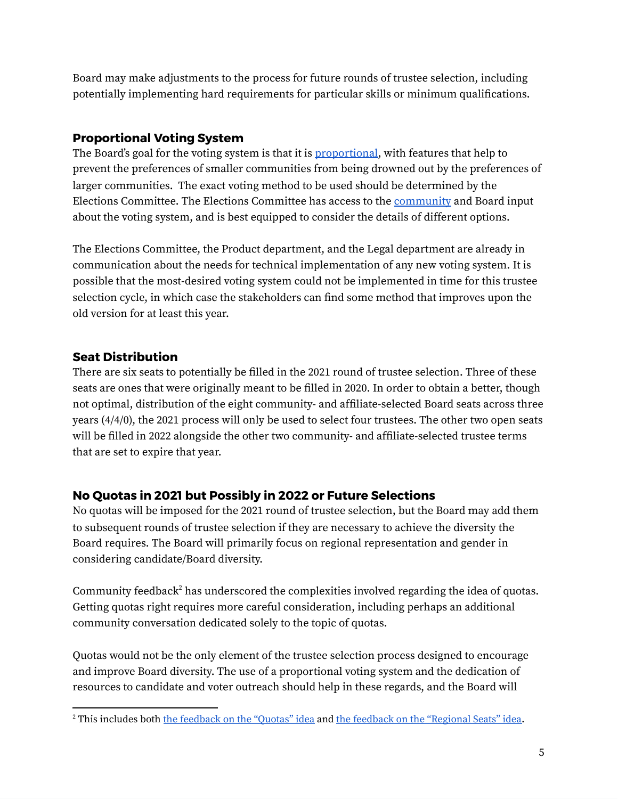Board may make adjustments to the process for future rounds of trustee selection, including potentially implementing hard requirements for particular skills or minimum qualifications.

#### <span id="page-4-0"></span>**Proportional Voting System**

The Board's goal for the voting system is that it is [proportional,](https://en.wikipedia.org/wiki/Proportional_representation) with features that help to prevent the preferences of smaller communities from being drowned out by the preferences of larger communities. The exact voting method to be used should be determined by the Elections Committee. The Elections Committee has access to the [community](https://meta.wikimedia.org/wiki/Wikimedia_Foundation_Board_of_Trustees/Call_for_feedback:_Community_Board_seats/Main_report#Ranked_voting_system) and Board input about the voting system, and is best equipped to consider the details of different options.

The Elections Committee, the Product department, and the Legal department are already in communication about the needs for technical implementation of any new voting system. It is possible that the most-desired voting system could not be implemented in time for this trustee selection cycle, in which case the stakeholders can find some method that improves upon the old version for at least this year.

#### <span id="page-4-1"></span>**Seat Distribution**

There are six seats to potentially be filled in the 2021 round of trustee selection. Three of these seats are ones that were originally meant to be filled in 2020. In order to obtain a better, though not optimal, distribution of the eight community- and affiliate-selected Board seats across three years (4/4/0), the 2021 process will only be used to select four trustees. The other two open seats will be filled in 2022 alongside the other two community- and affiliate-selected trustee terms that are set to expire that year.

#### <span id="page-4-2"></span>**No Quotas in 2021 but Possibly in 2022 or Future Selections**

No quotas will be imposed for the 2021 round of trustee selection, but the Board may add them to subsequent rounds of trustee selection if they are necessary to achieve the diversity the Board requires. The Board will primarily focus on regional representation and gender in considering candidate/Board diversity.

Community feedback<sup>2</sup> has underscored the complexities involved regarding the idea of quotas. Getting quotas right requires more careful consideration, including perhaps an additional community conversation dedicated solely to the topic of quotas.

Quotas would not be the only element of the trustee selection process designed to encourage and improve Board diversity. The use of a proportional voting system and the dedication of resources to candidate and voter outreach should help in these regards, and the Board will

<sup>2</sup> This includes both the [feedback](https://meta.wikimedia.org/wiki/Wikimedia_Foundation_Board_of_Trustees/Call_for_feedback:_Community_Board_seats/Main_report#Selection_committee) on the "Quotas" idea and the feedback on the ["Regional](https://meta.wikimedia.org/wiki/Wikimedia_Foundation_Board_of_Trustees/Call_for_feedback:_Community_Board_seats/Main_report#Regional_seats) Seats" idea.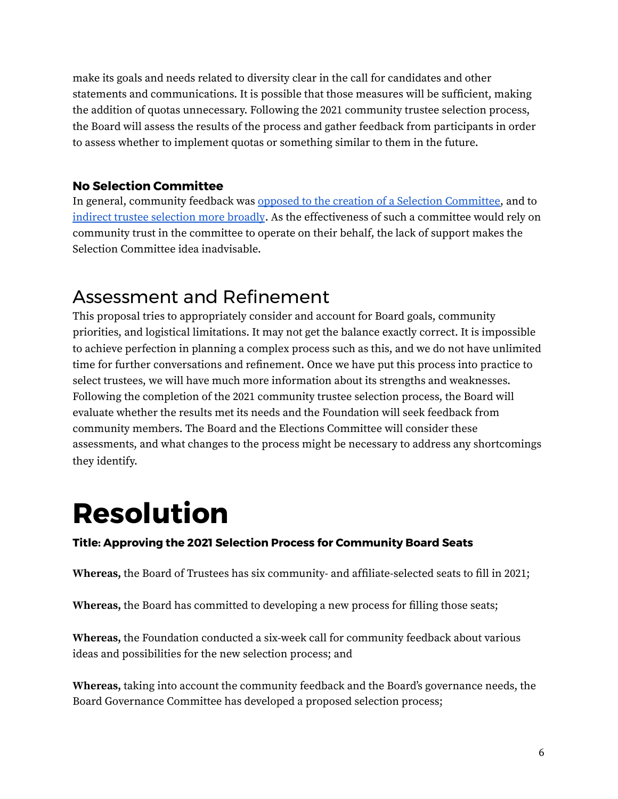make its goals and needs related to diversity clear in the call for candidates and other statements and communications. It is possible that those measures will be sufficient, making the addition of quotas unnecessary. Following the 2021 community trustee selection process, the Board will assess the results of the process and gather feedback from participants in order to assess whether to implement quotas or something similar to them in the future.

#### <span id="page-5-0"></span>**No Selection Committee**

In general, community feedback was opposed to the creation of a Selection [Committee,](https://meta.wikimedia.org/wiki/Wikimedia_Foundation_Board_of_Trustees/Call_for_feedback:_Community_Board_seats/Main_report#Selection_committee) and to indirect trustee [selection](https://meta.wikimedia.org/wiki/Wikimedia_Foundation_Board_of_Trustees/Call_for_feedback:_Community_Board_seats/Main_report#Election_of_confirmed_candidates) more broadly. As the effectiveness of such a committee would rely on community trust in the committee to operate on their behalf, the lack of support makes the Selection Committee idea inadvisable.

### <span id="page-5-1"></span>Assessment and Refinement

This proposal tries to appropriately consider and account for Board goals, community priorities, and logistical limitations. It may not get the balance exactly correct. It is impossible to achieve perfection in planning a complex process such as this, and we do not have unlimited time for further conversations and refinement. Once we have put this process into practice to select trustees, we will have much more information about its strengths and weaknesses. Following the completion of the 2021 community trustee selection process, the Board will evaluate whether the results met its needs and the Foundation will seek feedback from community members. The Board and the Elections Committee will consider these assessments, and what changes to the process might be necessary to address any shortcomings they identify.

# <span id="page-5-2"></span>**Resolution**

#### **Title: Approving the 2021 Selection Process for Community Board Seats**

**Whereas,** the Board of Trustees has six community- and affiliate-selected seats to fill in 2021;

**Whereas,** the Board has committed to developing a new process for filling those seats;

**Whereas,** the Foundation conducted a six-week call for community feedback about various ideas and possibilities for the new selection process; and

**Whereas,** taking into account the community feedback and the Board's governance needs, the Board Governance Committee has developed a proposed selection process;